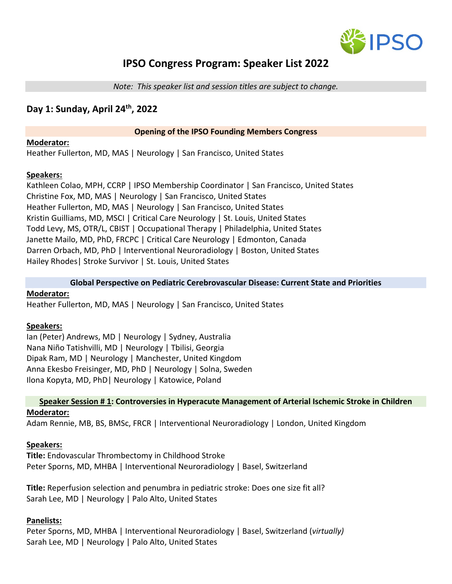

# **IPSO Congress Program: Speaker List 2022**

*Note: This speaker list and session titles are subject to change.*

# **Day 1: Sunday, April 24th, 2022**

#### **Opening of the IPSO Founding Members Congress**

#### **Moderator:**

Heather Fullerton, MD, MAS | Neurology | San Francisco, United States

## **Speakers:**

Kathleen Colao, MPH, CCRP | IPSO Membership Coordinator | San Francisco, United States Christine Fox, MD, MAS | Neurology | San Francisco, United States Heather Fullerton, MD, MAS | Neurology | San Francisco, United States Kristin Guilliams, MD, MSCI | Critical Care Neurology | St. Louis, United States Todd Levy, MS, OTR/L, CBIST | Occupational Therapy | Philadelphia, United States Janette Mailo, MD, PhD, FRCPC | Critical Care Neurology | Edmonton, Canada Darren Orbach, MD, PhD | Interventional Neuroradiology | Boston, United States Hailey Rhodes| Stroke Survivor | St. Louis, United States

#### **Global Perspective on Pediatric Cerebrovascular Disease: Current State and Priorities**

# **Moderator:**

Heather Fullerton, MD, MAS | Neurology | San Francisco, United States

#### **Speakers:**

Ian (Peter) Andrews, MD | Neurology | Sydney, Australia Nana Niño Tatishvilli, MD | Neurology | Tbilisi, Georgia Dipak Ram, MD | Neurology | Manchester, United Kingdom Anna Ekesbo Freisinger, MD, PhD | Neurology | Solna, Sweden Ilona Kopyta, MD, PhD| Neurology | Katowice, Poland

#### **Speaker Session # 1: Controversies in Hyperacute Management of Arterial Ischemic Stroke in Children Moderator:**

Adam Rennie, MB, BS, BMSc, FRCR | Interventional Neuroradiology | London, United Kingdom

#### **Speakers:**

**Title:** Endovascular Thrombectomy in Childhood Stroke Peter Sporns, MD, MHBA | Interventional Neuroradiology | Basel, Switzerland

**Title:** Reperfusion selection and penumbra in pediatric stroke: Does one size fit all? Sarah Lee, MD | Neurology | Palo Alto, United States

#### **Panelists:**

Peter Sporns, MD, MHBA | Interventional Neuroradiology | Basel, Switzerland (*virtually)* Sarah Lee, MD | Neurology | Palo Alto, United States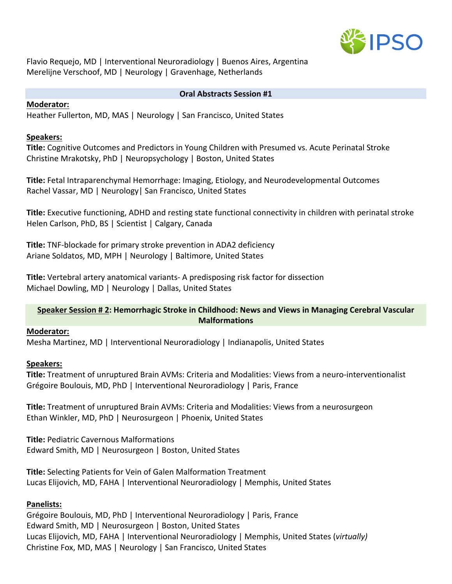

Flavio Requejo, MD | Interventional Neuroradiology | Buenos Aires, Argentina Merelijne Verschoof, MD | Neurology | Gravenhage, Netherlands

#### **Oral Abstracts Session #1**

#### **Moderator:**

Heather Fullerton, MD, MAS | Neurology | San Francisco, United States

# **Speakers:**

**Title:** Cognitive Outcomes and Predictors in Young Children with Presumed vs. Acute Perinatal Stroke Christine Mrakotsky, PhD | Neuropsychology | Boston, United States

**Title:** Fetal Intraparenchymal Hemorrhage: Imaging, Etiology, and Neurodevelopmental Outcomes Rachel Vassar, MD | Neurology| San Francisco, United States

**Title:** Executive functioning, ADHD and resting state functional connectivity in children with perinatal stroke Helen Carlson, PhD, BS | Scientist | Calgary, Canada

**Title:** TNF-blockade for primary stroke prevention in ADA2 deficiency Ariane Soldatos, MD, MPH | Neurology | Baltimore, United States

**Title:** Vertebral artery anatomical variants- A predisposing risk factor for dissection Michael Dowling, MD | Neurology | Dallas, United States

# **Speaker Session # 2: Hemorrhagic Stroke in Childhood: News and Views in Managing Cerebral Vascular Malformations**

# **Moderator:**

Mesha Martinez, MD | Interventional Neuroradiology | Indianapolis, United States

# **Speakers:**

**Title:** Treatment of unruptured Brain AVMs: Criteria and Modalities: Views from a neuro-interventionalist Grégoire Boulouis, MD, PhD | Interventional Neuroradiology | Paris, France

**Title:** Treatment of unruptured Brain AVMs: Criteria and Modalities: Views from a neurosurgeon Ethan Winkler, MD, PhD | Neurosurgeon | Phoenix, United States

**Title:** Pediatric Cavernous Malformations Edward Smith, MD | Neurosurgeon | Boston, United States

**Title:** Selecting Patients for Vein of Galen Malformation Treatment Lucas Elijovich, MD, FAHA | Interventional Neuroradiology | Memphis, United States

# **Panelists:**

Grégoire Boulouis, MD, PhD | Interventional Neuroradiology | Paris, France Edward Smith, MD | Neurosurgeon | Boston, United States Lucas Elijovich, MD, FAHA | Interventional Neuroradiology | Memphis, United States (*virtually)* Christine Fox, MD, MAS | Neurology | San Francisco, United States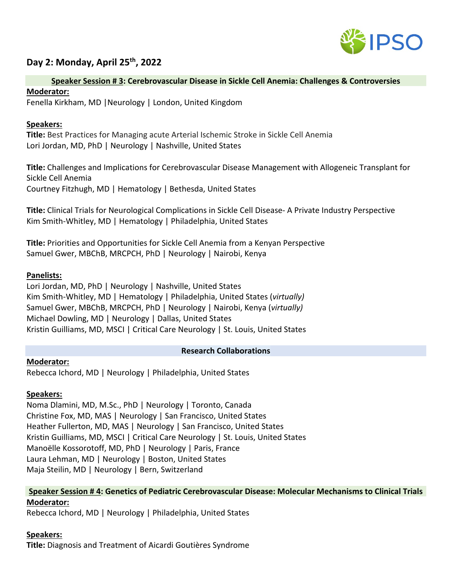

# **Day 2: Monday, April 25th, 2022**

#### **Speaker Session # 3: Cerebrovascular Disease in Sickle Cell Anemia: Challenges & Controversies**

#### **Moderator:**

Fenella Kirkham, MD |Neurology | London, United Kingdom

### **Speakers:**

**Title:** Best Practices for Managing acute Arterial Ischemic Stroke in Sickle Cell Anemia Lori Jordan, MD, PhD | Neurology | Nashville, United States

**Title:** Challenges and Implications for Cerebrovascular Disease Management with Allogeneic Transplant for Sickle Cell Anemia Courtney Fitzhugh, MD | Hematology | Bethesda, United States

**Title:** Clinical Trials for Neurological Complications in Sickle Cell Disease- A Private Industry Perspective Kim Smith-Whitley, MD | Hematology | Philadelphia, United States

**Title:** Priorities and Opportunities for Sickle Cell Anemia from a Kenyan Perspective Samuel Gwer, MBChB, MRCPCH, PhD | Neurology | Nairobi, Kenya

## **Panelists:**

Lori Jordan, MD, PhD | Neurology | Nashville, United States Kim Smith-Whitley, MD | Hematology | Philadelphia, United States (*virtually)* Samuel Gwer, MBChB, MRCPCH, PhD | Neurology | Nairobi, Kenya (*virtually)* Michael Dowling, MD | Neurology | Dallas, United States Kristin Guilliams, MD, MSCI | Critical Care Neurology | St. Louis, United States

#### **Research Collaborations**

**Moderator:**  Rebecca Ichord, MD | Neurology | Philadelphia, United States

#### **Speakers:**

Noma Dlamini, MD, M.Sc., PhD | Neurology | Toronto, Canada Christine Fox, MD, MAS | Neurology | San Francisco, United States Heather Fullerton, MD, MAS | Neurology | San Francisco, United States Kristin Guilliams, MD, MSCI | Critical Care Neurology | St. Louis, United States Manoëlle Kossorotoff, MD, PhD | Neurology | Paris, France Laura Lehman, MD | Neurology | Boston, United States Maja Steilin, MD | Neurology | Bern, Switzerland

## **Speaker Session # 4: Genetics of Pediatric Cerebrovascular Disease: Molecular Mechanisms to Clinical Trials Moderator:**

Rebecca Ichord, MD | Neurology | Philadelphia, United States

# **Speakers:**

**Title:** Diagnosis and Treatment of Aicardi Goutières Syndrome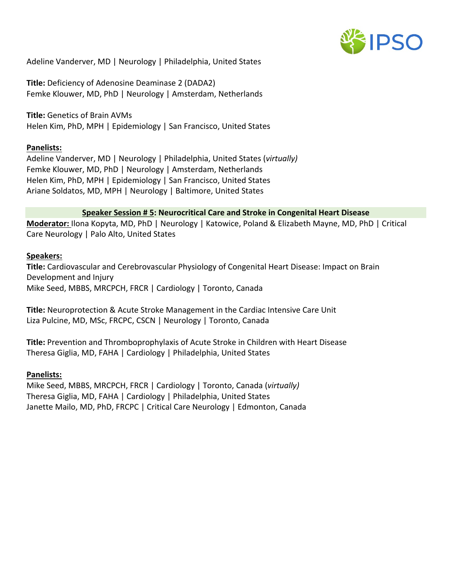

Adeline Vanderver, MD | Neurology | Philadelphia, United States

**Title:** Deficiency of Adenosine Deaminase 2 (DADA2) Femke Klouwer, MD, PhD | Neurology | Amsterdam, Netherlands

**Title:** Genetics of Brain AVMs Helen Kim, PhD, MPH | Epidemiology | San Francisco, United States

#### **Panelists:**

Adeline Vanderver, MD | Neurology | Philadelphia, United States (*virtually)* Femke Klouwer, MD, PhD | Neurology | Amsterdam, Netherlands Helen Kim, PhD, MPH | Epidemiology | San Francisco, United States Ariane Soldatos, MD, MPH | Neurology | Baltimore, United States

#### **Speaker Session # 5: Neurocritical Care and Stroke in Congenital Heart Disease**

**Moderator:** Ilona Kopyta, MD, PhD | Neurology | Katowice, Poland & Elizabeth Mayne, MD, PhD | Critical Care Neurology | Palo Alto, United States

#### **Speakers:**

**Title:** Cardiovascular and Cerebrovascular Physiology of Congenital Heart Disease: Impact on Brain Development and Injury Mike Seed, MBBS, MRCPCH, FRCR | Cardiology | Toronto, Canada

**Title:** Neuroprotection & Acute Stroke Management in the Cardiac Intensive Care Unit Liza Pulcine, MD, MSc, FRCPC, CSCN | Neurology | Toronto, Canada

**Title:** Prevention and Thromboprophylaxis of Acute Stroke in Children with Heart Disease Theresa Giglia, MD, FAHA | Cardiology | Philadelphia, United States

#### **Panelists:**

Mike Seed, MBBS, MRCPCH, FRCR | Cardiology | Toronto, Canada (*virtually)* Theresa Giglia, MD, FAHA | Cardiology | Philadelphia, United States Janette Mailo, MD, PhD, FRCPC | Critical Care Neurology | Edmonton, Canada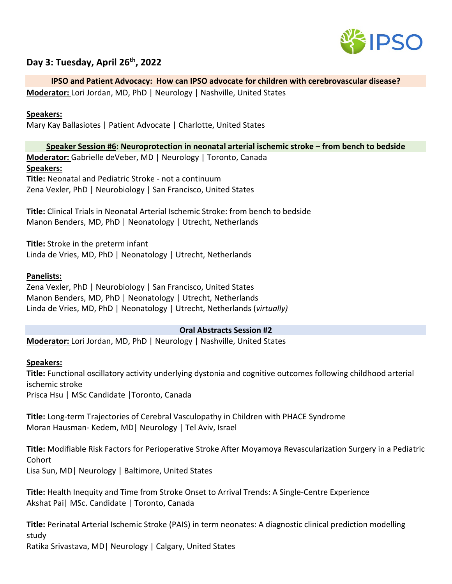

# **Day 3: Tuesday, April 26th, 2022**

# **IPSO and Patient Advocacy: How can IPSO advocate for children with cerebrovascular disease?**

**Moderator:** Lori Jordan, MD, PhD | Neurology | Nashville, United States

### **Speakers:**

Mary Kay Ballasiotes | Patient Advocate | Charlotte, United States

#### **Speaker Session #6: Neuroprotection in neonatal arterial ischemic stroke – from bench to bedside**

**Moderator:** Gabrielle deVeber, MD | Neurology | Toronto, Canada **Speakers: Title:** Neonatal and Pediatric Stroke - not a continuum

Zena Vexler, PhD | Neurobiology | San Francisco, United States

**Title:** Clinical Trials in Neonatal Arterial Ischemic Stroke: from bench to bedside Manon Benders, MD, PhD | Neonatology | Utrecht, Netherlands

**Title:** Stroke in the preterm infant Linda de Vries, MD, PhD | Neonatology | Utrecht, Netherlands

## **Panelists:**

Zena Vexler, PhD | Neurobiology | San Francisco, United States Manon Benders, MD, PhD | Neonatology | Utrecht, Netherlands Linda de Vries, MD, PhD | Neonatology | Utrecht, Netherlands (*virtually)*

#### **Oral Abstracts Session #2**

**Moderator:** Lori Jordan, MD, PhD | Neurology | Nashville, United States

#### **Speakers:**

**Title:** Functional oscillatory activity underlying dystonia and cognitive outcomes following childhood arterial ischemic stroke Prisca Hsu | MSc Candidate |Toronto, Canada

**Title:** Long-term Trajectories of Cerebral Vasculopathy in Children with PHACE Syndrome Moran Hausman- Kedem, MD| Neurology | Tel Aviv, Israel

**Title:** Modifiable Risk Factors for Perioperative Stroke After Moyamoya Revascularization Surgery in a Pediatric Cohort Lisa Sun, MD| Neurology | Baltimore, United States

**Title:** Health Inequity and Time from Stroke Onset to Arrival Trends: A Single-Centre Experience Akshat Pai| MSc. Candidate | Toronto, Canada

**Title:** Perinatal Arterial Ischemic Stroke (PAIS) in term neonates: A diagnostic clinical prediction modelling study

Ratika Srivastava, MD| Neurology | Calgary, United States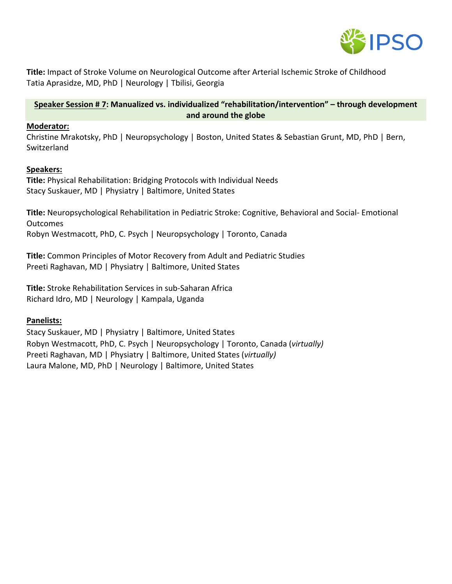

**Title:** Impact of Stroke Volume on Neurological Outcome after Arterial Ischemic Stroke of Childhood Tatia Aprasidze, MD, PhD | Neurology | Tbilisi, Georgia

## **Speaker Session # 7: Manualized vs. individualized "rehabilitation/intervention" – through development and around the globe**

#### **Moderator:**

Christine Mrakotsky, PhD | Neuropsychology | Boston, United States & Sebastian Grunt, MD, PhD | Bern, Switzerland

#### **Speakers:**

**Title:** Physical Rehabilitation: Bridging Protocols with Individual Needs Stacy Suskauer, MD | Physiatry | Baltimore, United States

**Title:** Neuropsychological Rehabilitation in Pediatric Stroke: Cognitive, Behavioral and Social- Emotional **Outcomes** Robyn Westmacott, PhD, C. Psych | Neuropsychology | Toronto, Canada

**Title:** Common Principles of Motor Recovery from Adult and Pediatric Studies Preeti Raghavan, MD | Physiatry | Baltimore, United States

**Title:** Stroke Rehabilitation Services in sub-Saharan Africa Richard Idro, MD | Neurology | Kampala, Uganda

#### **Panelists:**

Stacy Suskauer, MD | Physiatry | Baltimore, United States Robyn Westmacott, PhD, C. Psych | Neuropsychology | Toronto, Canada (*virtually)* Preeti Raghavan, MD | Physiatry | Baltimore, United States (*virtually)* Laura Malone, MD, PhD | Neurology | Baltimore, United States